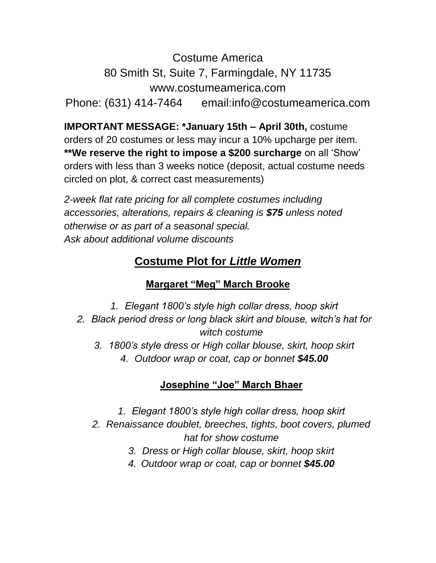Costume America

80 Smith St, Suite 7, Farmingdale, NY 11735

www.costumeamerica.com

Phone: (631) 414-7464 email:info@costumeamerica.com

**IMPORTANT MESSAGE: \*January 15th – April 30th,** costume orders of 20 costumes or less may incur a 10% upcharge per item. **\*\*We reserve the right to impose a \$200 surcharge** on all 'Show' orders with less than 3 weeks notice (deposit, actual costume needs circled on plot, & correct cast measurements)

*2-week flat rate pricing for all complete costumes including accessories, alterations, repairs & cleaning is \$75 unless noted otherwise or as part of a seasonal special. Ask about additional volume discounts*

# **Costume Plot for** *Little Women*

## **Margaret "Meg" March Brooke**

*1. Elegant 1800's style high collar dress, hoop skirt 2. Black period dress or long black skirt and blouse, witch's hat for witch costume 3. 1800's style dress or High collar blouse, skirt, hoop skirt 4. Outdoor wrap or coat, cap or bonnet \$45.00*

## **Josephine "Joe" March Bhaer**

- *1. Elegant 1800's style high collar dress, hoop skirt*
- *2. Renaissance doublet, breeches, tights, boot covers, plumed hat for show costume*
	- *3. Dress or High collar blouse, skirt, hoop skirt*
	- *4. Outdoor wrap or coat, cap or bonnet \$45.00*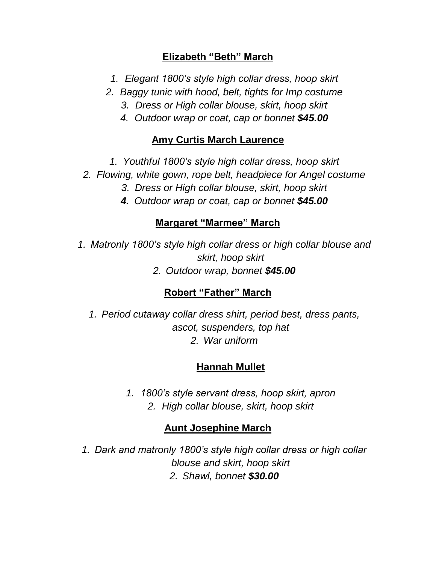### **Elizabeth "Beth" March**

- *1. Elegant 1800's style high collar dress, hoop skirt*
- *2. Baggy tunic with hood, belt, tights for Imp costume*
	- *3. Dress or High collar blouse, skirt, hoop skirt*
	- *4. Outdoor wrap or coat, cap or bonnet \$45.00*

## **Amy Curtis March Laurence**

- *1. Youthful 1800's style high collar dress, hoop skirt*
- *2. Flowing, white gown, rope belt, headpiece for Angel costume*
	- *3. Dress or High collar blouse, skirt, hoop skirt*
	- *4. Outdoor wrap or coat, cap or bonnet \$45.00*

## **Margaret "Marmee" March**

*1. Matronly 1800's style high collar dress or high collar blouse and skirt, hoop skirt*

*2. Outdoor wrap, bonnet \$45.00*

## **Robert "Father" March**

*1. Period cutaway collar dress shirt, period best, dress pants, ascot, suspenders, top hat 2. War uniform*

## **Hannah Mullet**

*1. 1800's style servant dress, hoop skirt, apron 2. High collar blouse, skirt, hoop skirt*

## **Aunt Josephine March**

*1. Dark and matronly 1800's style high collar dress or high collar blouse and skirt, hoop skirt 2. Shawl, bonnet \$30.00*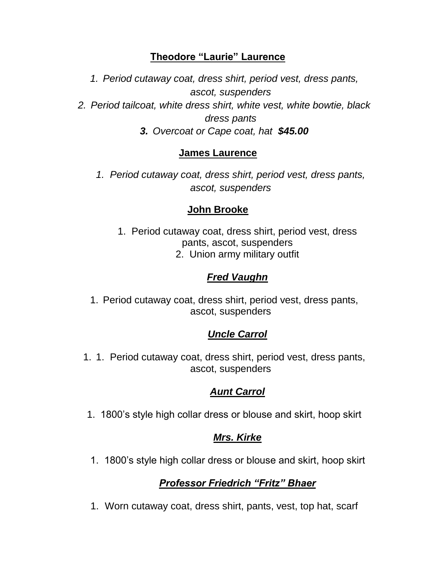### **Theodore "Laurie" Laurence**

*1. Period cutaway coat, dress shirt, period vest, dress pants, ascot, suspenders 2. Period tailcoat, white dress shirt, white vest, white bowtie, black dress pants 3. Overcoat or Cape coat, hat \$45.00*

### **James Laurence**

*1. Period cutaway coat, dress shirt, period vest, dress pants, ascot, suspenders*

### **John Brooke**

1. Period cutaway coat, dress shirt, period vest, dress pants, ascot, suspenders 2. Union army military outfit

## *Fred Vaughn*

1. Period cutaway coat, dress shirt, period vest, dress pants, ascot, suspenders

## *Uncle Carrol*

1. 1. Period cutaway coat, dress shirt, period vest, dress pants, ascot, suspenders

### *Aunt Carrol*

1. 1800's style high collar dress or blouse and skirt, hoop skirt

## *Mrs. Kirke*

1. 1800's style high collar dress or blouse and skirt, hoop skirt

## *Professor Friedrich "Fritz" Bhaer*

1. Worn cutaway coat, dress shirt, pants, vest, top hat, scarf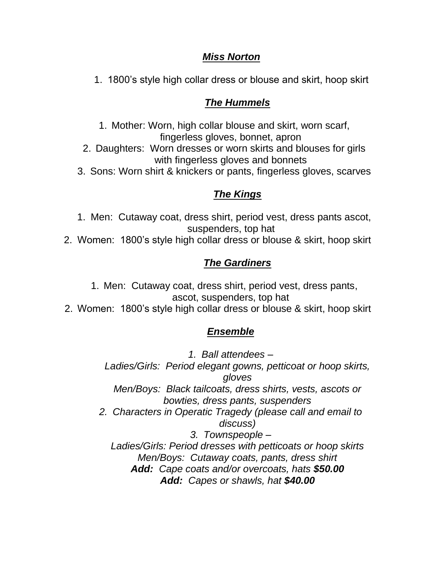#### *Miss Norton*

1. 1800's style high collar dress or blouse and skirt, hoop skirt

#### *The Hummels*

1. Mother: Worn, high collar blouse and skirt, worn scarf, fingerless gloves, bonnet, apron 2. Daughters: Worn dresses or worn skirts and blouses for girls with fingerless gloves and bonnets

3. Sons: Worn shirt & knickers or pants, fingerless gloves, scarves

### *The Kings*

1. Men: Cutaway coat, dress shirt, period vest, dress pants ascot, suspenders, top hat 2. Women: 1800's style high collar dress or blouse & skirt, hoop skirt

#### *The Gardiners*

1. Men: Cutaway coat, dress shirt, period vest, dress pants, ascot, suspenders, top hat

2. Women: 1800's style high collar dress or blouse & skirt, hoop skirt

### *Ensemble*

*1. Ball attendees – Ladies/Girls: Period elegant gowns, petticoat or hoop skirts, gloves Men/Boys: Black tailcoats, dress shirts, vests, ascots or bowties, dress pants, suspenders 2. Characters in Operatic Tragedy (please call and email to discuss) 3. Townspeople – Ladies/Girls: Period dresses with petticoats or hoop skirts Men/Boys: Cutaway coats, pants, dress shirt Add: Cape coats and/or overcoats, hats \$50.00 Add: Capes or shawls, hat \$40.00*